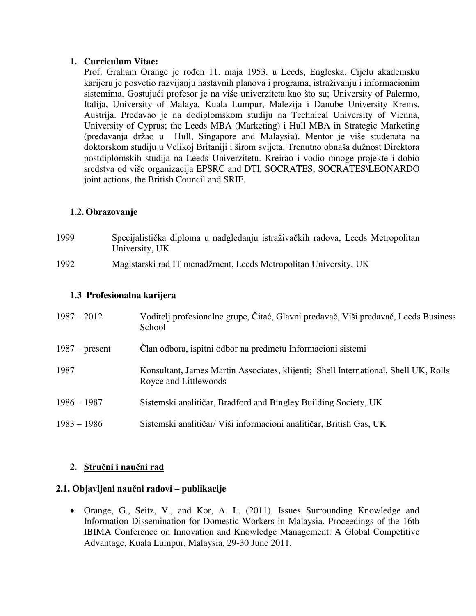### **1. Curriculum Vitae:**

Prof. Graham Orange je rođen 11. maja 1953. u Leeds, Engleska. Cijelu akademsku karijeru je posvetio razvijanju nastavnih planova i programa, istraživanju i informacionim sistemima. Gostujući profesor je na više univerziteta kao što su; University of Palermo, Italija, University of Malaya, Kuala Lumpur, Malezija i Danube University Krems, Austrija. Predavao je na dodiplomskom studiju na Technical University of Vienna, University of Cyprus; the Leeds MBA (Marketing) i Hull MBA in Strategic Marketing (predavanja držao u Hull, Singapore and Malaysia). Mentor je više studenata na doktorskom studiju u Velikoj Britaniji i širom svijeta. Trenutno obnaša dužnost Direktora postdiplomskih studija na Leeds Univerzitetu. Kreirao i vodio mnoge projekte i dobio sredstva od više organizacija EPSRC and DTI, SOCRATES, SOCRATES\LEONARDO joint actions, the British Council and SRIF.

# **1.2. Obrazovanje**

| 1999 | Specijalistička diploma u nadgledanju istraživačkih radova, Leeds Metropolitan |
|------|--------------------------------------------------------------------------------|
|      | University, UK                                                                 |

1992 Magistarski rad IT menadžment, Leeds Metropolitan University, UK

## **1.3 Profesionalna karijera**

| $1987 - 2012$    | Voditelj profesionalne grupe, Čitać, Glavni predavač, Viši predavač, Leeds Business<br>School                |
|------------------|--------------------------------------------------------------------------------------------------------------|
| $1987$ – present | Clan odbora, ispitni odbor na predmetu Informacioni sistemi                                                  |
| 1987             | Konsultant, James Martin Associates, klijenti; Shell International, Shell UK, Rolls<br>Royce and Littlewoods |
| $1986 - 1987$    | Sistemski analitičar, Bradford and Bingley Building Society, UK                                              |
| $1983 - 1986$    | Sistemski analitičar/ Viši informacioni analitičar, British Gas, UK                                          |

## **2. Stručni i naučni rad**

## **2.1. Objavljeni naučni radovi – publikacije**

 Orange, G., Seitz, V., and Kor, A. L. (2011). Issues Surrounding Knowledge and Information Dissemination for Domestic Workers in Malaysia. Proceedings of the 16th IBIMA Conference on Innovation and Knowledge Management: A Global Competitive Advantage, Kuala Lumpur, Malaysia, 29-30 June 2011.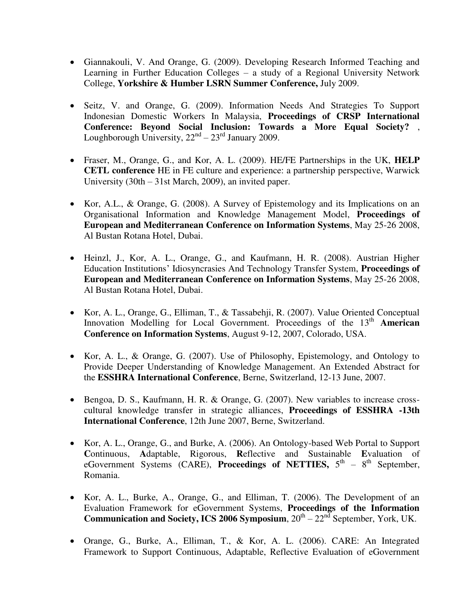- Giannakouli, V. And Orange, G. (2009). Developing Research Informed Teaching and Learning in Further Education Colleges – a study of a Regional University Network College, **Yorkshire & Humber LSRN Summer Conference,** July 2009.
- Seitz, V. and Orange, G. (2009). Information Needs And Strategies To Support Indonesian Domestic Workers In Malaysia, **Proceedings of CRSP International Conference: Beyond Social Inclusion: Towards a More Equal Society?** , Loughborough University,  $22<sup>nd</sup> - 23<sup>rd</sup>$  January 2009.
- Fraser, M., Orange, G., and Kor, A. L. (2009). HE/FE Partnerships in the UK, **HELP CETL conference** HE in FE culture and experience: a partnership perspective, Warwick University (30th – 31st March, 2009), an invited paper.
- Kor, A.L., & Orange, G. (2008). A Survey of Epistemology and its Implications on an Organisational Information and Knowledge Management Model, **Proceedings of European and Mediterranean Conference on Information Systems**, May 25-26 2008, Al Bustan Rotana Hotel, Dubai.
- Heinzl, J., Kor, A. L., Orange, G., and Kaufmann, H. R. (2008). Austrian Higher Education Institutions' Idiosyncrasies And Technology Transfer System, **Proceedings of European and Mediterranean Conference on Information Systems**, May 25-26 2008, Al Bustan Rotana Hotel, Dubai.
- Kor, A. L., Orange, G., Elliman, T., & Tassabehji, R. (2007). Value Oriented Conceptual Innovation Modelling for Local Government. Proceedings of the 13<sup>th</sup> **American Conference on Information Systems**, August 9-12, 2007, Colorado, USA.
- Kor, A. L., & Orange, G. (2007). Use of Philosophy, Epistemology, and Ontology to Provide Deeper Understanding of Knowledge Management. An Extended Abstract for the **ESSHRA International Conference**, Berne, Switzerland, 12-13 June, 2007.
- Bengoa, D. S., Kaufmann, H. R. & Orange, G. (2007). New variables to increase crosscultural knowledge transfer in strategic alliances, **Proceedings of ESSHRA -13th International Conference**, 12th June 2007, Berne, Switzerland.
- Kor, A. L., Orange, G., and Burke, A. (2006). An Ontology-based Web Portal to Support **C**ontinuous, **A**daptable, Rigorous, **R**eflective and Sustainable **E**valuation of eGovernment Systems (CARE), **Proceedings of NETTIES**,  $5<sup>th</sup> - 8<sup>th</sup>$  September, Romania.
- Kor, A. L., Burke, A., Orange, G., and Elliman, T. (2006). The Development of an Evaluation Framework for eGovernment Systems, **Proceedings of the Information Communication and Society, ICS 2006 Symposium**,  $20<sup>th</sup> - 22<sup>nd</sup>$  September, York, UK.
- Orange, G., Burke, A., Elliman, T., & Kor, A. L. (2006). CARE: An Integrated Framework to Support Continuous, Adaptable, Reflective Evaluation of eGovernment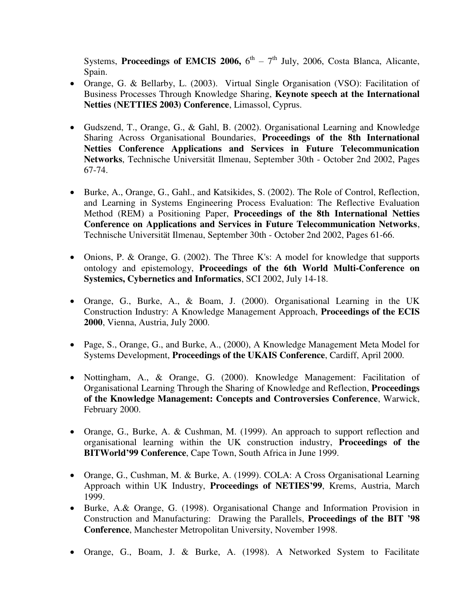Systems, **Proceedings of EMCIS 2006,**  $6^{\text{th}} - 7^{\text{th}}$  July, 2006, Costa Blanca, Alicante, Spain.

- Orange, G. & Bellarby, L. (2003). Virtual Single Organisation (VSO): Facilitation of Business Processes Through Knowledge Sharing, **Keynote speech at the International Netties (NETTIES 2003) Conference**, Limassol, Cyprus.
- Gudszend, T., Orange, G., & Gahl, B. (2002). Organisational Learning and Knowledge Sharing Across Organisational Boundaries, **Proceedings of the 8th International Netties Conference Applications and Services in Future Telecommunication Networks**, Technische Universität Ilmenau, September 30th - October 2nd 2002, Pages 67-74.
- Burke, A., Orange, G., Gahl., and Katsikides, S. (2002). The Role of Control, Reflection, and Learning in Systems Engineering Process Evaluation: The Reflective Evaluation Method (REM) a Positioning Paper, **Proceedings of the 8th International Netties Conference on Applications and Services in Future Telecommunication Networks**, Technische Universität Ilmenau, September 30th - October 2nd 2002, Pages 61-66.
- Onions, P. & Orange, G. (2002). The Three K's: A model for knowledge that supports ontology and epistemology, **Proceedings of the 6th World Multi-Conference on Systemics, Cybernetics and Informatics**, SCI 2002, July 14-18.
- Orange, G., Burke, A., & Boam, J. (2000). Organisational Learning in the UK Construction Industry: A Knowledge Management Approach, **Proceedings of the ECIS 2000**, Vienna, Austria, July 2000.
- Page, S., Orange, G., and Burke, A., (2000), A Knowledge Management Meta Model for Systems Development, **Proceedings of the UKAIS Conference**, Cardiff, April 2000.
- Nottingham, A., & Orange, G. (2000). Knowledge Management: Facilitation of Organisational Learning Through the Sharing of Knowledge and Reflection, **Proceedings of the Knowledge Management: Concepts and Controversies Conference**, Warwick, February 2000.
- Orange, G., Burke, A. & Cushman, M. (1999). An approach to support reflection and organisational learning within the UK construction industry, **Proceedings of the BITWorld'99 Conference**, Cape Town, South Africa in June 1999.
- Orange, G., Cushman, M. & Burke, A. (1999). COLA: A Cross Organisational Learning Approach within UK Industry, **Proceedings of NETIES'99**, Krems, Austria, March 1999.
- Burke, A.& Orange, G. (1998). Organisational Change and Information Provision in Construction and Manufacturing: Drawing the Parallels, **Proceedings of the BIT '98 Conference**, Manchester Metropolitan University, November 1998.
- Orange, G., Boam, J. & Burke, A. (1998). A Networked System to Facilitate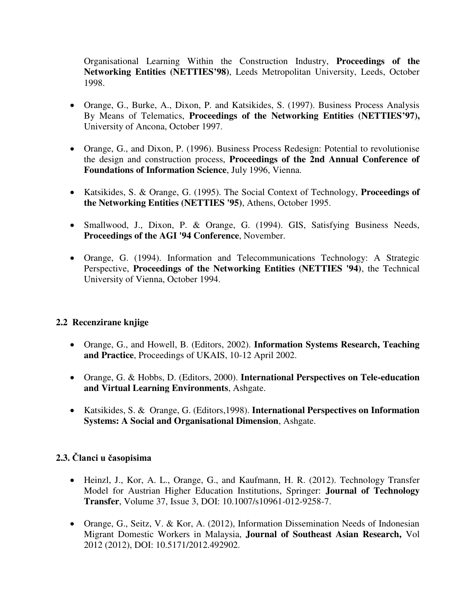Organisational Learning Within the Construction Industry, **Proceedings of the Networking Entities (NETTIES'98)**, Leeds Metropolitan University, Leeds, October 1998.

- Orange, G., Burke, A., Dixon, P. and Katsikides, S. (1997). Business Process Analysis By Means of Telematics, **Proceedings of the Networking Entities (NETTIES'97),** University of Ancona, October 1997.
- Orange, G., and Dixon, P. (1996). Business Process Redesign: Potential to revolutionise the design and construction process, **Proceedings of the 2nd Annual Conference of Foundations of Information Science**, July 1996, Vienna.
- Katsikides, S. & Orange, G. (1995). The Social Context of Technology, **Proceedings of the Networking Entities (NETTIES '95)**, Athens, October 1995.
- Smallwood, J., Dixon, P. & Orange, G. (1994). GIS, Satisfying Business Needs, **Proceedings of the AGI '94 Conference**, November.
- Orange, G. (1994). Information and Telecommunications Technology: A Strategic Perspective, **Proceedings of the Networking Entities (NETTIES '94)**, the Technical University of Vienna, October 1994.

## **2.2 Recenzirane knjige**

- Orange, G., and Howell, B. (Editors, 2002). **Information Systems Research, Teaching and Practice**, Proceedings of UKAIS, 10-12 April 2002.
- Orange, G. & Hobbs, D. (Editors, 2000). **International Perspectives on Tele-education and Virtual Learning Environments**, Ashgate.
- Katsikides, S. & Orange, G. (Editors,1998). **International Perspectives on Information Systems: A Social and Organisational Dimension**, Ashgate.

## **2.3. Članci u časopisima**

- Heinzl, J., Kor, A. L., Orange, G., and Kaufmann, H. R. (2012). Technology Transfer Model for Austrian Higher Education Institutions, Springer: **Journal of Technology Transfer**, Volume 37, Issue 3, DOI: 10.1007/s10961-012-9258-7.
- Orange, G., Seitz, V. & Kor, A. (2012), Information Dissemination Needs of Indonesian Migrant Domestic Workers in Malaysia, **Journal of Southeast Asian Research,** Vol 2012 (2012), DOI: 10.5171/2012.492902.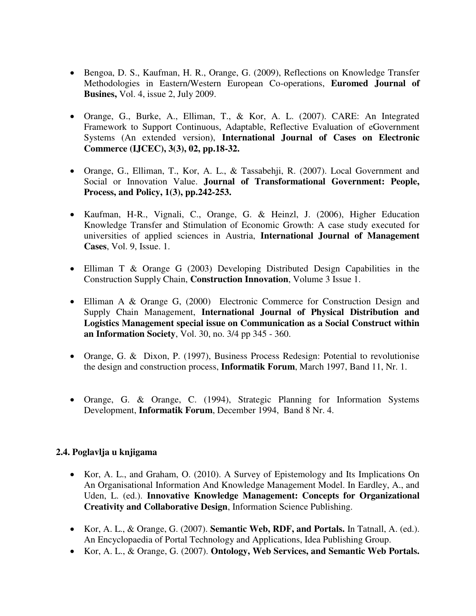- Bengoa, D. S., Kaufman, H. R., Orange, G. (2009), Reflections on Knowledge Transfer Methodologies in Eastern/Western European Co-operations, **Euromed Journal of Busines,** Vol. 4, issue 2, July 2009.
- Orange, G., Burke, A., Elliman, T., & Kor, A. L. (2007). CARE: An Integrated Framework to Support Continuous, Adaptable, Reflective Evaluation of eGovernment Systems (An extended version), **International Journal of Cases on Electronic Commerce (IJCEC), 3(3), 02, pp.18-32.**
- Orange, G., Elliman, T., Kor, A. L., & Tassabehji, R. (2007). Local Government and Social or Innovation Value. **Journal of Transformational Government: People, Process, and Policy, 1(3), pp.242-253.**
- Kaufman, H-R., Vignali, C., Orange, G. & Heinzl, J. (2006), Higher Education Knowledge Transfer and Stimulation of Economic Growth: A case study executed for universities of applied sciences in Austria, **International Journal of Management Cases**, Vol. 9, Issue. 1.
- Elliman T & Orange G (2003) Developing Distributed Design Capabilities in the Construction Supply Chain, **Construction Innovation**, Volume 3 Issue 1.
- Elliman A & Orange G, (2000) Electronic Commerce for Construction Design and Supply Chain Management, **International Journal of Physical Distribution and Logistics Management special issue on Communication as a Social Construct within an Information Society**, Vol. 30, no. 3/4 pp 345 - 360.
- Orange, G. & Dixon, P. (1997), Business Process Redesign: Potential to revolutionise the design and construction process, **Informatik Forum**, March 1997, Band 11, Nr. 1.
- Orange, G. & Orange, C. (1994), Strategic Planning for Information Systems Development, **Informatik Forum**, December 1994, Band 8 Nr. 4.

## **2.4. Poglavlja u knjigama**

- Kor, A. L., and Graham, O. (2010). A Survey of Epistemology and Its Implications On An Organisational Information And Knowledge Management Model. In Eardley, A., and Uden, L. (ed.). **Innovative Knowledge Management: Concepts for Organizational Creativity and Collaborative Design**, Information Science Publishing.
- Kor, A. L., & Orange, G. (2007). **Semantic Web, RDF, and Portals.** In Tatnall, A. (ed.). An Encyclopaedia of Portal Technology and Applications, Idea Publishing Group.
- Kor, A. L., & Orange, G. (2007). **Ontology, Web Services, and Semantic Web Portals.**